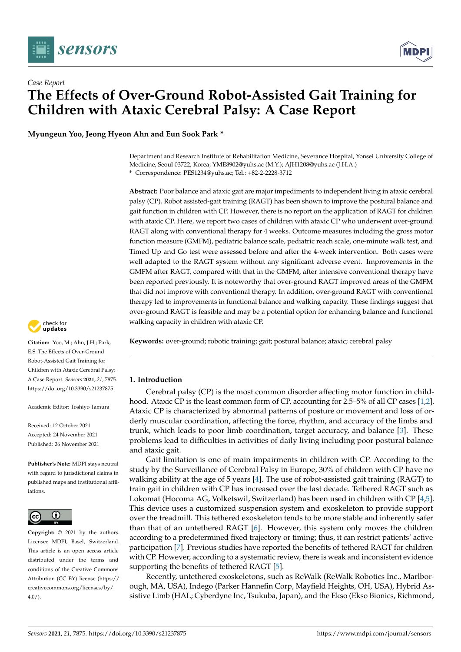



# *Case Report* **The Effects of Over-Ground Robot-Assisted Gait Training for Children with Ataxic Cerebral Palsy: A Case Report**

**Myungeun Yoo, Jeong Hyeon Ahn and Eun Sook Park \***

Department and Research Institute of Rehabilitation Medicine, Severance Hospital, Yonsei University College of Medicine, Seoul 03722, Korea; YME8902@yuhs.ac (M.Y.); AJH1208@yuhs.ac (J.H.A.) **\*** Correspondence: PES1234@yuhs.ac; Tel.: +82-2-2228-3712

**Abstract:** Poor balance and ataxic gait are major impediments to independent living in ataxic cerebral palsy (CP). Robot assisted-gait training (RAGT) has been shown to improve the postural balance and gait function in children with CP. However, there is no report on the application of RAGT for children with ataxic CP. Here, we report two cases of children with ataxic CP who underwent over-ground RAGT along with conventional therapy for 4 weeks. Outcome measures including the gross motor function measure (GMFM), pediatric balance scale, pediatric reach scale, one-minute walk test, and Timed Up and Go test were assessed before and after the 4-week intervention. Both cases were well adapted to the RAGT system without any significant adverse event. Improvements in the GMFM after RAGT, compared with that in the GMFM, after intensive conventional therapy have been reported previously. It is noteworthy that over-ground RAGT improved areas of the GMFM that did not improve with conventional therapy. In addition, over-ground RAGT with conventional therapy led to improvements in functional balance and walking capacity. These findings suggest that over-ground RAGT is feasible and may be a potential option for enhancing balance and functional walking capacity in children with ataxic CP.

**Keywords:** over-ground; robotic training; gait; postural balance; ataxic; cerebral palsy



**Citation:** Yoo, M.; Ahn, J.H.; Park, E.S. The Effects of Over-Ground Robot-Assisted Gait Training for Children with Ataxic Cerebral Palsy: A Case Report. *Sensors* **2021**, *21*, 7875. <https://doi.org/10.3390/s21237875>

Academic Editor: Toshiyo Tamura

Received: 12 October 2021 Accepted: 24 November 2021 Published: 26 November 2021

**Publisher's Note:** MDPI stays neutral with regard to jurisdictional claims in published maps and institutional affiliations.



**Copyright:** © 2021 by the authors. Licensee MDPI, Basel, Switzerland. This article is an open access article distributed under the terms and conditions of the Creative Commons Attribution (CC BY) license (https:/[/](https://creativecommons.org/licenses/by/4.0/) [creativecommons.org/licenses/by/](https://creativecommons.org/licenses/by/4.0/)  $4.0/$ ).

**1. Introduction**

Cerebral palsy (CP) is the most common disorder affecting motor function in childhood. Ataxic CP is the least common form of CP, accounting for 2.5–5% of all CP cases [\[1](#page-6-0)[,2\]](#page-6-1). Ataxic CP is characterized by abnormal patterns of posture or movement and loss of orderly muscular coordination, affecting the force, rhythm, and accuracy of the limbs and trunk, which leads to poor limb coordination, target accuracy, and balance [\[3\]](#page-6-2). These problems lead to difficulties in activities of daily living including poor postural balance and ataxic gait.

Gait limitation is one of main impairments in children with CP. According to the study by the Surveillance of Cerebral Palsy in Europe, 30% of children with CP have no walking ability at the age of 5 years [\[4\]](#page-6-3). The use of robot-assisted gait training (RAGT) to train gait in children with CP has increased over the last decade. Tethered RAGT such as Lokomat (Hocoma AG, Volketswil, Switzerland) has been used in children with CP [\[4,](#page-6-3)[5\]](#page-7-0). This device uses a customized suspension system and exoskeleton to provide support over the treadmill. This tethered exoskeleton tends to be more stable and inherently safer than that of an untethered RAGT [\[6\]](#page-7-1). However, this system only moves the children according to a predetermined fixed trajectory or timing; thus, it can restrict patients' active participation [\[7\]](#page-7-2). Previous studies have reported the benefits of tethered RAGT for children with CP. However, according to a systematic review, there is weak and inconsistent evidence supporting the benefits of tethered RAGT [\[5\]](#page-7-0).

Recently, untethered exoskeletons, such as ReWalk (ReWalk Robotics Inc., Marlborough, MA, USA), Indego (Parker Hannefin Corp, Mayfield Heights, OH, USA), Hybrid Assistive Limb (HAL; Cyberdyne Inc, Tsukuba, Japan), and the Ekso (Ekso Bionics, Richmond,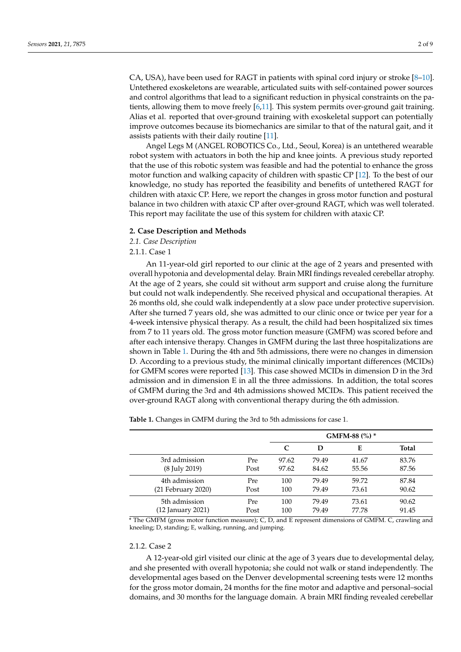CA, USA), have been used for RAGT in patients with spinal cord injury or stroke [\[8](#page-7-3)[–10\]](#page-7-4). Untethered exoskeletons are wearable, articulated suits with self-contained power sources and control algorithms that lead to a significant reduction in physical constraints on the patients, allowing them to move freely [\[6,](#page-7-1)[11\]](#page-7-5). This system permits over-ground gait training. Alias et al. reported that over-ground training with exoskeletal support can potentially improve outcomes because its biomechanics are similar to that of the natural gait, and it assists patients with their daily routine [\[11\]](#page-7-5).

Angel Legs M (ANGEL ROBOTICS Co., Ltd., Seoul, Korea) is an untethered wearable robot system with actuators in both the hip and knee joints. A previous study reported that the use of this robotic system was feasible and had the potential to enhance the gross motor function and walking capacity of children with spastic CP [\[12\]](#page-7-6). To the best of our knowledge, no study has reported the feasibility and benefits of untethered RAGT for children with ataxic CP. Here, we report the changes in gross motor function and postural balance in two children with ataxic CP after over-ground RAGT, which was well tolerated. This report may facilitate the use of this system for children with ataxic CP.

#### **2. Case Description and Methods**

*2.1. Case Description*

2.1.1. Case 1

An 11-year-old girl reported to our clinic at the age of 2 years and presented with overall hypotonia and developmental delay. Brain MRI findings revealed cerebellar atrophy. At the age of 2 years, she could sit without arm support and cruise along the furniture but could not walk independently. She received physical and occupational therapies. At 26 months old, she could walk independently at a slow pace under protective supervision. After she turned 7 years old, she was admitted to our clinic once or twice per year for a 4-week intensive physical therapy. As a result, the child had been hospitalized six times from 7 to 11 years old. The gross motor function measure (GMFM) was scored before and after each intensive therapy. Changes in GMFM during the last three hospitalizations are shown in Table [1.](#page-1-0) During the 4th and 5th admissions, there were no changes in dimension D. According to a previous study, the minimal clinically important differences (MCIDs) for GMFM scores were reported [\[13\]](#page-7-7). This case showed MCIDs in dimension D in the 3rd admission and in dimension E in all the three admissions. In addition, the total scores of GMFM during the 3rd and 4th admissions showed MCIDs. This patient received the over-ground RAGT along with conventional therapy during the 6th admission.

<span id="page-1-0"></span>**Table 1.** Changes in GMFM during the 3rd to 5th admissions for case 1.

|                         |      | GMFM-88 (%) * |       |       |       |
|-------------------------|------|---------------|-------|-------|-------|
|                         |      | C             | D     | Е     | Total |
| 3rd admission           | Pre  | 97.62         | 79.49 | 41.67 | 83.76 |
| (8 July 2019)           | Post | 97.62         | 84.62 | 55.56 | 87.56 |
| 4th admission           | Pre  | 100           | 79.49 | 59.72 | 87.84 |
| $(21$ February $2020$ ) | Post | 100           | 79.49 | 73.61 | 90.62 |
| 5th admission           | Pre  | 100           | 79.49 | 73.61 | 90.62 |
| (12 January 2021)       | Post | 100           | 79.49 | 77.78 | 91.45 |

\* The GMFM (gross motor function measure); C, D, and E represent dimensions of GMFM. C, crawling and kneeling; D, standing; E, walking, running, and jumping.

# 2.1.2. Case 2

A 12-year-old girl visited our clinic at the age of 3 years due to developmental delay, and she presented with overall hypotonia; she could not walk or stand independently. The developmental ages based on the Denver developmental screening tests were 12 months for the gross motor domain, 24 months for the fine motor and adaptive and personal–social domains, and 30 months for the language domain. A brain MRI finding revealed cerebellar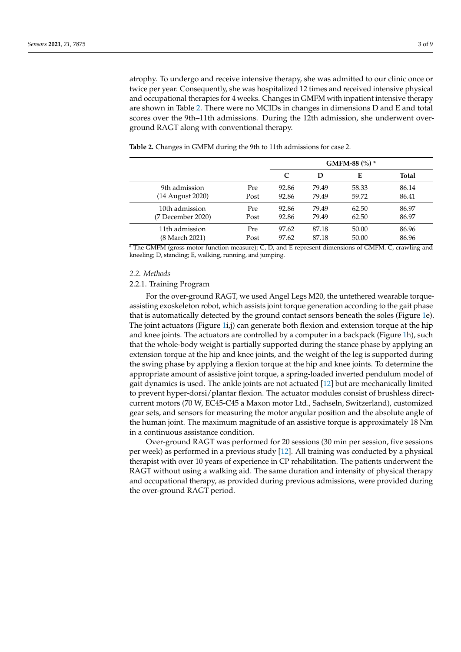atrophy. To undergo and receive intensive therapy, she was admitted to our clinic once or twice per year. Consequently, she was hospitalized 12 times and received intensive physical and occupational therapies for 4 weeks. Changes in GMFM with inpatient intensive therapy are shown in Table [2.](#page-2-0) There were no MCIDs in changes in dimensions D and E and total scores over the 9th–11th admissions. During the 12th admission, she underwent overground RAGT along with conventional therapy.

<span id="page-2-0"></span>**Table 2.** Changes in GMFM during the 9th to 11th admissions for case 2.

|                   |            | GMFM-88 (%) * |       |       |       |
|-------------------|------------|---------------|-------|-------|-------|
|                   |            | C             | D     | Е     | Total |
| 9th admission     | <b>Pre</b> | 92.86         | 79.49 | 58.33 | 86.14 |
| (14 August 2020)  | Post       | 92.86         | 79.49 | 59.72 | 86.41 |
| 10th admission    | <b>Pre</b> | 92.86         | 79.49 | 62.50 | 86.97 |
| (7 December 2020) | Post       | 92.86         | 79.49 | 62.50 | 86.97 |
| 11th admission    | Pre        | 97.62         | 87.18 | 50.00 | 86.96 |
| (8 March 2021)    | Post       | 97.62         | 87.18 | 50.00 | 86.96 |

\* The GMFM (gross motor function measure); C, D, and E represent dimensions of GMFM. C, crawling and kneeling; D, standing; E, walking, running, and jumping.

#### *2.2. Methods*

# 2.2.1. Training Program

For the over-ground RAGT, we used Angel Legs M20, the untethered wearable torqueassisting exoskeleton robot, which assists joint torque generation according to the gait phase that is automatically detected by the ground contact sensors beneath the soles (Figure [1e](#page-3-0)). The joint actuators (Figure [1i](#page-3-0),j) can generate both flexion and extension torque at the hip and knee joints. The actuators are controlled by a computer in a backpack (Figure [1h](#page-3-0)), such that the whole-body weight is partially supported during the stance phase by applying an extension torque at the hip and knee joints, and the weight of the leg is supported during the swing phase by applying a flexion torque at the hip and knee joints. To determine the appropriate amount of assistive joint torque, a spring-loaded inverted pendulum model of gait dynamics is used. The ankle joints are not actuated [\[12\]](#page-7-6) but are mechanically limited to prevent hyper-dorsi/plantar flexion. The actuator modules consist of brushless directcurrent motors (70 W, EC45-C45 a Maxon motor Ltd., Sachseln, Switzerland), customized gear sets, and sensors for measuring the motor angular position and the absolute angle of the human joint. The maximum magnitude of an assistive torque is approximately 18 Nm in a continuous assistance condition.

Over-ground RAGT was performed for 20 sessions (30 min per session, five sessions per week) as performed in a previous study [\[12\]](#page-7-6). All training was conducted by a physical therapist with over 10 years of experience in CP rehabilitation. The patients underwent the RAGT without using a walking aid. The same duration and intensity of physical therapy and occupational therapy, as provided during previous admissions, were provided during the over-ground RAGT period.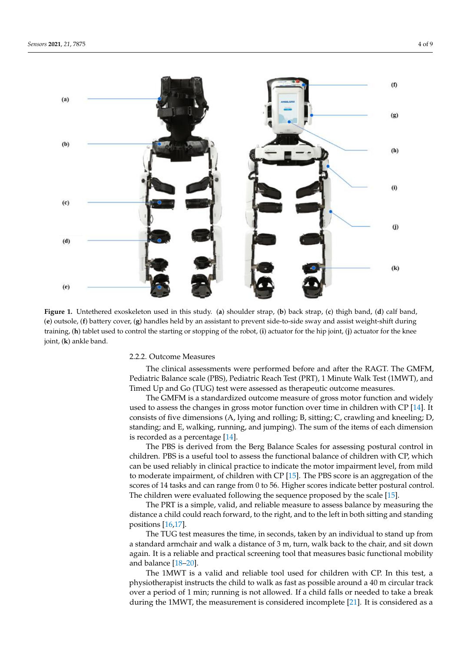<span id="page-3-0"></span>

Figure 1. Untethered exoskeleton used in this study. (a) shoulder strap, (b) back strap, (c) thigh band, (d) calf band, (e) outsole, (f) battery cover, (g) handles held by an assistant to prevent side-to-side sway and assist weight-shift during training, (h) tablet used to control the starting or stopping of the robot, (i) actuator for the hip joint, (j) actuator for the knee knee joint, (**k**) ankle band. joint, (**k**) ankle band.

## 2.2.2. Outcome Measures 2.2.2. Outcome Measures

The clinical assessments were performed before and after the RAGT. The GMFM, The clinical assessments were performed before and after the RAGT. The GMFM, Pediatric Balance scale (PBS), Pediatric Reach Test (PRT), 1 Minute Walk Test (1MWT), Pediatric Balance scale (PBS), Pediatric Reach Test (PRT), 1 Minute Walk Test (1MWT), and and Timed Up and Go (TUG) test were assessed as therapeutic outcome measures. Timed Up and Go (TUG) test were assessed as therapeutic outcome measures.

The GMFM is a standardized outcome measure of gross motor function and widely The GMFM is a standardized outcome measure of gross motor function and widely used to assess the changes in gross motor function over time in children with CP [14]. It used to assess the changes in gross motor function over time in children with CP [\[14\]](#page-7-8). It consists of five dimensions (A, lying and rolling; B, sitting; C, crawling and kneeling; D, consists of five dimensions (A, lying and rolling; B, sitting; C, crawling and kneeling; D, standing; and E, walking, running, and jumping). The sum of the items of each dimension standing; and E, walking, running, and jumping). The sum of the items of each dimension is recorded as a percentage [14]. is recorded as a percentage [\[14\]](#page-7-8).

The PBS is derived from the Berg Balance Scales for assessing postural control in children. PBS is a useful tool to assess the functional balance of children with CP, which can be used reliably in clinical practice to indicate the motor impairment level, from mild moderate impairment, of children with CP [15]. The PBS score is an aggregation of the to moderate impairment, of children with CP [\[15\]](#page-7-9). The PBS score is an aggregation of the scores of 14 tasks and can range from 0 to 56. Higher scores indicate better postural control. The children were evaluated following the sequence proposed by the scale [\[15\]](#page-7-9).

The PRT is a simple, valid, and reliable measure to assess balance by measuring the The PRT is a simple, valid, and reliable measure to assess balance by measuring the distance a child could reach forward, to the right, and to the left in both sitting and standing<br> positions  $[16,17]$  $[16,17]$ .

The TUG test measures the time, in seconds, taken by an individual to stand up from The TUG test measures the time, in seconds, taken by an individual to stand up from a standard armchair and walk a distance of 3 m, turn, walk back to the chair, and sit down a standard armchair and walk a distance of 3 m, turn, walk back to the chair, and sit down again. It is a reliable and practical screening tool that measures basic functional mobility again. It is a reliable and practical screening tool that measures basic functional mobility and balance  $[18-20]$  $[18-20]$ .

physiotherapist instructs the child to walk as fast as possible around a 40 m circular track iotherapist instructs the child to walk as fast as possible around a 40 m circular track over over a period of 1 min; running is not allowed. If a child falls or needed to take a break a period of 1 min; running is not allowed. If a children is not allowed. If a child fall falls or needed to take during the 1MWT, the measurement is considered incomplete [\[21\]](#page-7-14). It is considered as a The 1MWT is a valid and reliable tool used for children with CP. In this test, a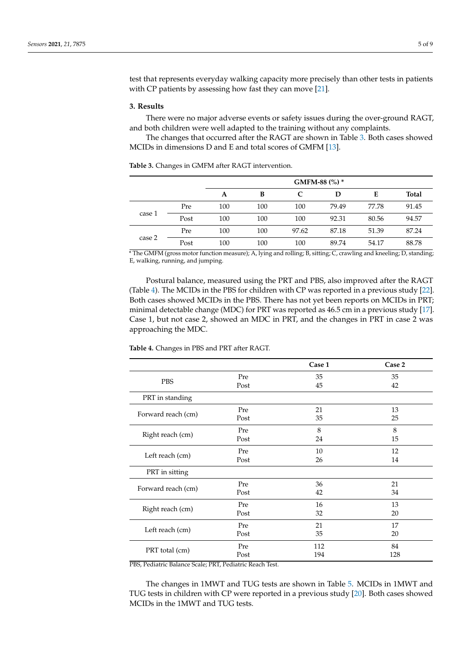test that represents everyday walking capacity more precisely than other tests in patients with CP patients by assessing how fast they can move [\[21\]](#page-7-14).

## **3. Results**

There were no major adverse events or safety issues during the over-ground RAGT, and both children were well adapted to the training without any complaints.

The changes that occurred after the RAGT are shown in Table [3.](#page-4-0) Both cases showed MCIDs in dimensions D and E and total scores of GMFM [\[13\]](#page-7-7).

|        |      | GMFM-88 (%) * |     |       |       |       |              |
|--------|------|---------------|-----|-------|-------|-------|--------------|
|        |      | A             | B   | C     | D     | E     | <b>Total</b> |
| case 1 | Pre  | 100           | 100 | 100   | 79.49 | 77.78 | 91.45        |
|        | Post | 100           | 100 | 100   | 92.31 | 80.56 | 94.57        |
| case 2 | Pre  | 100           | 100 | 97.62 | 87.18 | 51.39 | 87.24        |
|        | Post | 100           | 100 | 100   | 89.74 | 54.17 | 88.78        |

<span id="page-4-0"></span>**Table 3.** Changes in GMFM after RAGT intervention.

\* The GMFM (gross motor function measure); A, lying and rolling; B, sitting; C, crawling and kneeling; D, standing; E, walking, running, and jumping.

Postural balance, measured using the PRT and PBS, also improved after the RAGT (Table [4\)](#page-4-1). The MCIDs in the PBS for children with CP was reported in a previous study [\[22\]](#page-7-15). Both cases showed MCIDs in the PBS. There has not yet been reports on MCIDs in PRT; minimal detectable change (MDC) for PRT was reported as 46.5 cm in a previous study [\[17\]](#page-7-11). Case 1, but not case 2, showed an MDC in PRT, and the changes in PRT in case 2 was approaching the MDC.

**Case 1 Case 2** PBS Pre  $\begin{array}{ccc} \text{Pre} & 35 & 35 \\ \text{Post} & & 45 & 42 \\ \end{array}$ Post 45 42 PRT in standing Forward reach (cm)  $\begin{array}{ccc}\n\text{Pre} & 21 & 13 \\
\text{Post} & 35 & 25\n\end{array}$ Post 35 25 Right reach (cm) Pre 8 8 8 8 15 Post 24 15 Left reach (cm) Pre  $\begin{array}{ccc} Pre & 10 & 12 \\ Post & 26 & 14 \end{array}$ Post 26 14 PRT in sitting Forward reach (cm) Re 36 21 21 34 234 234 234 234 25 21 22 34 Post 42 34 Right reach (cm) Pre  $\begin{array}{ccc} Pre & 16 & 13 \\ Post & 32 & 20 \end{array}$ Post 32 20 Left reach (cm)  $\begin{array}{ccc}\n\text{Pre} & 21 & 17 \\
\text{Post} & 35 & 20\n\end{array}$ Post 35 20 PRT total (cm) Pre  $P$  and  $P$  and  $P$  and  $P$  and  $P$  and  $P$  and  $P$  and  $P$  and  $P$  and  $P$  and  $P$  and  $P$  and  $P$  and  $P$  and  $P$  and  $P$  and  $P$  and  $P$  and  $P$  and  $P$  and  $P$  and  $P$  and  $P$  and  $P$  and  $P$  and  $P$ Post 194 128

<span id="page-4-1"></span>**Table 4.** Changes in PBS and PRT after RAGT.

PBS, Pediatric Balance Scale; PRT, Pediatric Reach Test.

The changes in 1MWT and TUG tests are shown in Table [5.](#page-5-0) MCIDs in 1MWT and TUG tests in children with CP were reported in a previous study [\[20\]](#page-7-13). Both cases showed MCIDs in the 1MWT and TUG tests.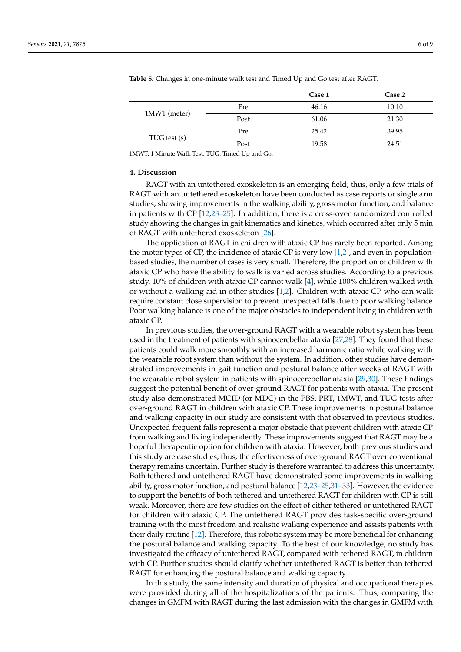|                                                                                                                                                                                                                                                                                                                                                                                                                                                             |                                                     | Case 1 | Case 2 |
|-------------------------------------------------------------------------------------------------------------------------------------------------------------------------------------------------------------------------------------------------------------------------------------------------------------------------------------------------------------------------------------------------------------------------------------------------------------|-----------------------------------------------------|--------|--------|
|                                                                                                                                                                                                                                                                                                                                                                                                                                                             | Pre                                                 | 46.16  | 10.10  |
| 1MWT (meter)                                                                                                                                                                                                                                                                                                                                                                                                                                                | Post                                                | 61.06  | 21.30  |
| TUG test (s)                                                                                                                                                                                                                                                                                                                                                                                                                                                | Pre                                                 | 25.42  | 39.95  |
|                                                                                                                                                                                                                                                                                                                                                                                                                                                             | Post                                                | 19.58  | 24.51  |
| $\mathcal{L}(\mathcal{L}(\mathcal{L}(\mathcal{L}(\mathcal{L}(\mathcal{L}(\mathcal{L}(\mathcal{L}(\mathcal{L}(\mathcal{L}(\mathcal{L}(\mathcal{L}(\mathcal{L}(\mathcal{L}(\mathcal{L}(\mathcal{L}(\mathcal{L}(\mathcal{L}(\mathcal{L}(\mathcal{L}(\mathcal{L}(\mathcal{L}(\mathcal{L}(\mathcal{L}(\mathcal{L}(\mathcal{L}(\mathcal{L}(\mathcal{L}(\mathcal{L}(\mathcal{L}(\mathcal{L}(\mathcal{L}(\mathcal{L}(\mathcal{L}(\mathcal{L}(\mathcal{L}(\mathcal{$ | $\rightarrow$ $\rightarrow$ $\rightarrow$<br>$\sim$ |        |        |

<span id="page-5-0"></span>**Table 5.** Changes in one-minute walk test and Timed Up and Go test after RAGT.

1MWT, 1 Minute Walk Test; TUG, Timed Up and Go.

## **4. Discussion**

RAGT with an untethered exoskeleton is an emerging field; thus, only a few trials of RAGT with an untethered exoskeleton have been conducted as case reports or single arm studies, showing improvements in the walking ability, gross motor function, and balance in patients with CP [\[12](#page-7-6)[,23](#page-7-16)[–25\]](#page-7-17). In addition, there is a cross-over randomized controlled study showing the changes in gait kinematics and kinetics, which occurred after only 5 min of RAGT with untethered exoskeleton [\[26\]](#page-7-18).

The application of RAGT in children with ataxic CP has rarely been reported. Among the motor types of CP, the incidence of ataxic CP is very low [\[1,](#page-6-0)[2\]](#page-6-1), and even in populationbased studies, the number of cases is very small. Therefore, the proportion of children with ataxic CP who have the ability to walk is varied across studies. According to a previous study, 10% of children with ataxic CP cannot walk [\[4\]](#page-6-3), while 100% children walked with or without a walking aid in other studies [\[1,](#page-6-0)[2\]](#page-6-1). Children with ataxic CP who can walk require constant close supervision to prevent unexpected falls due to poor walking balance. Poor walking balance is one of the major obstacles to independent living in children with ataxic CP.

In previous studies, the over-ground RAGT with a wearable robot system has been used in the treatment of patients with spinocerebellar ataxia [\[27](#page-7-19)[,28\]](#page-7-20). They found that these patients could walk more smoothly with an increased harmonic ratio while walking with the wearable robot system than without the system. In addition, other studies have demonstrated improvements in gait function and postural balance after weeks of RAGT with the wearable robot system in patients with spinocerebellar ataxia [\[29](#page-7-21)[,30\]](#page-7-22). These findings suggest the potential benefit of over-ground RAGT for patients with ataxia. The present study also demonstrated MCID (or MDC) in the PBS, PRT, 1MWT, and TUG tests after over-ground RAGT in children with ataxic CP. These improvements in postural balance and walking capacity in our study are consistent with that observed in previous studies. Unexpected frequent falls represent a major obstacle that prevent children with ataxic CP from walking and living independently. These improvements suggest that RAGT may be a hopeful therapeutic option for children with ataxia. However, both previous studies and this study are case studies; thus, the effectiveness of over-ground RAGT over conventional therapy remains uncertain. Further study is therefore warranted to address this uncertainty. Both tethered and untethered RAGT have demonstrated some improvements in walking ability, gross motor function, and postural balance [\[12](#page-7-6)[,23–](#page-7-16)[25](#page-7-17)[,31](#page-8-0)[–33\]](#page-8-1). However, the evidence to support the benefits of both tethered and untethered RAGT for children with CP is still weak. Moreover, there are few studies on the effect of either tethered or untethered RAGT for children with ataxic CP. The untethered RAGT provides task-specific over-ground training with the most freedom and realistic walking experience and assists patients with their daily routine [\[12\]](#page-7-6). Therefore, this robotic system may be more beneficial for enhancing the postural balance and walking capacity. To the best of our knowledge, no study has investigated the efficacy of untethered RAGT, compared with tethered RAGT, in children with CP. Further studies should clarify whether untethered RAGT is better than tethered RAGT for enhancing the postural balance and walking capacity.

In this study, the same intensity and duration of physical and occupational therapies were provided during all of the hospitalizations of the patients. Thus, comparing the changes in GMFM with RAGT during the last admission with the changes in GMFM with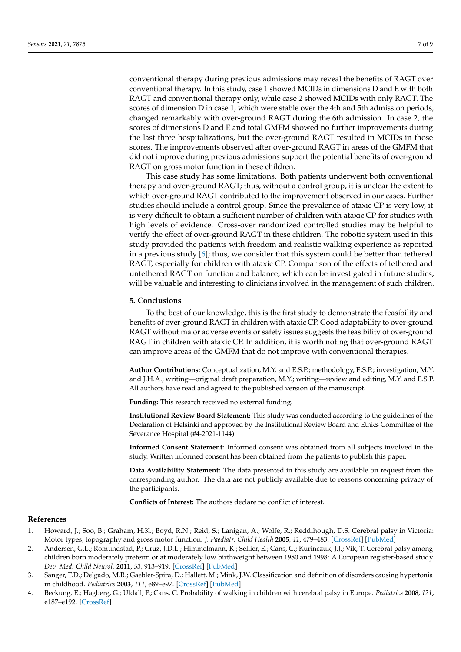conventional therapy during previous admissions may reveal the benefits of RAGT over conventional therapy. In this study, case 1 showed MCIDs in dimensions D and E with both RAGT and conventional therapy only, while case 2 showed MCIDs with only RAGT. The scores of dimension D in case 1, which were stable over the 4th and 5th admission periods, changed remarkably with over-ground RAGT during the 6th admission. In case 2, the scores of dimensions D and E and total GMFM showed no further improvements during the last three hospitalizations, but the over-ground RAGT resulted in MCIDs in those scores. The improvements observed after over-ground RAGT in areas of the GMFM that did not improve during previous admissions support the potential benefits of over-ground RAGT on gross motor function in these children.

This case study has some limitations. Both patients underwent both conventional therapy and over-ground RAGT; thus, without a control group, it is unclear the extent to which over-ground RAGT contributed to the improvement observed in our cases. Further studies should include a control group. Since the prevalence of ataxic CP is very low, it is very difficult to obtain a sufficient number of children with ataxic CP for studies with high levels of evidence. Cross-over randomized controlled studies may be helpful to verify the effect of over-ground RAGT in these children. The robotic system used in this study provided the patients with freedom and realistic walking experience as reported in a previous study  $[6]$ ; thus, we consider that this system could be better than tethered RAGT, especially for children with ataxic CP. Comparison of the effects of tethered and untethered RAGT on function and balance, which can be investigated in future studies, will be valuable and interesting to clinicians involved in the management of such children.

#### **5. Conclusions**

To the best of our knowledge, this is the first study to demonstrate the feasibility and benefits of over-ground RAGT in children with ataxic CP. Good adaptability to over-ground RAGT without major adverse events or safety issues suggests the feasibility of over-ground RAGT in children with ataxic CP. In addition, it is worth noting that over-ground RAGT can improve areas of the GMFM that do not improve with conventional therapies.

**Author Contributions:** Conceptualization, M.Y. and E.S.P.; methodology, E.S.P.; investigation, M.Y. and J.H.A.; writing—original draft preparation, M.Y.; writing—review and editing, M.Y. and E.S.P. All authors have read and agreed to the published version of the manuscript.

**Funding:** This research received no external funding.

**Institutional Review Board Statement:** This study was conducted according to the guidelines of the Declaration of Helsinki and approved by the Institutional Review Board and Ethics Committee of the Severance Hospital (#4-2021-1144).

**Informed Consent Statement:** Informed consent was obtained from all subjects involved in the study. Written informed consent has been obtained from the patients to publish this paper.

**Data Availability Statement:** The data presented in this study are available on request from the corresponding author. The data are not publicly available due to reasons concerning privacy of the participants.

**Conflicts of Interest:** The authors declare no conflict of interest.

## **References**

- <span id="page-6-0"></span>1. Howard, J.; Soo, B.; Graham, H.K.; Boyd, R.N.; Reid, S.; Lanigan, A.; Wolfe, R.; Reddihough, D.S. Cerebral palsy in Victoria: Motor types, topography and gross motor function. *J. Paediatr. Child Health* **2005**, *41*, 479–483. [\[CrossRef\]](http://doi.org/10.1111/j.1440-1754.2005.00687.x) [\[PubMed\]](http://www.ncbi.nlm.nih.gov/pubmed/16150063)
- <span id="page-6-1"></span>2. Andersen, G.L.; Romundstad, P.; Cruz, J.D.L.; Himmelmann, K.; Sellier, E.; Cans, C.; Kurinczuk, J.J.; Vik, T. Cerebral palsy among children born moderately preterm or at moderately low birthweight between 1980 and 1998: A European register-based study. *Dev. Med. Child Neurol.* **2011**, *53*, 913–919. [\[CrossRef\]](http://doi.org/10.1111/j.1469-8749.2011.04079.x) [\[PubMed\]](http://www.ncbi.nlm.nih.gov/pubmed/21838820)
- <span id="page-6-2"></span>3. Sanger, T.D.; Delgado, M.R.; Gaebler-Spira, D.; Hallett, M.; Mink, J.W. Classification and definition of disorders causing hypertonia in childhood. *Pediatrics* **2003**, *111*, e89–e97. [\[CrossRef\]](http://doi.org/10.1542/peds.111.1.e89) [\[PubMed\]](http://www.ncbi.nlm.nih.gov/pubmed/12509602)
- <span id="page-6-3"></span>4. Beckung, E.; Hagberg, G.; Uldall, P.; Cans, C. Probability of walking in children with cerebral palsy in Europe. *Pediatrics* **2008**, *121*, e187–e192. [\[CrossRef\]](http://doi.org/10.1542/peds.2007-0068)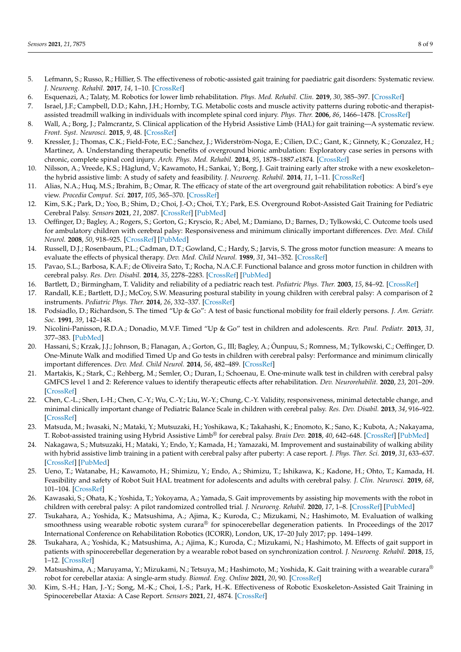- <span id="page-7-0"></span>5. Lefmann, S.; Russo, R.; Hillier, S. The effectiveness of robotic-assisted gait training for paediatric gait disorders: Systematic review. *J. Neuroeng. Rehabil.* **2017**, *14*, 1–10. [\[CrossRef\]](http://doi.org/10.1186/s12984-016-0214-x)
- <span id="page-7-1"></span>6. Esquenazi, A.; Talaty, M. Robotics for lower limb rehabilitation. *Phys. Med. Rehabil. Clin.* **2019**, *30*, 385–397. [\[CrossRef\]](http://doi.org/10.1016/j.pmr.2018.12.012)
- <span id="page-7-2"></span>7. Israel, J.F.; Campbell, D.D.; Kahn, J.H.; Hornby, T.G. Metabolic costs and muscle activity patterns during robotic-and therapistassisted treadmill walking in individuals with incomplete spinal cord injury. *Phys. Ther.* **2006**, *86*, 1466–1478. [\[CrossRef\]](http://doi.org/10.2522/ptj.20050266)
- <span id="page-7-3"></span>8. Wall, A.; Borg, J.; Palmcrantz, S. Clinical application of the Hybrid Assistive Limb (HAL) for gait training—A systematic review. *Front. Syst. Neurosci.* **2015**, *9*, 48. [\[CrossRef\]](http://doi.org/10.3389/fnsys.2015.00048)
- 9. Kressler, J.; Thomas, C.K.; Field-Fote, E.C.; Sanchez, J.; Widerström-Noga, E.; Cilien, D.C.; Gant, K.; Ginnety, K.; Gonzalez, H.; Martinez, A. Understanding therapeutic benefits of overground bionic ambulation: Exploratory case series in persons with chronic, complete spinal cord injury. *Arch. Phys. Med. Rehabil.* **2014**, *95*, 1878–1887.e1874. [\[CrossRef\]](http://doi.org/10.1016/j.apmr.2014.04.026)
- <span id="page-7-4"></span>10. Nilsson, A.; Vreede, K.S.; Häglund, V.; Kawamoto, H.; Sankai, Y.; Borg, J. Gait training early after stroke with a new exoskeleton– the hybrid assistive limb: A study of safety and feasibility. *J. Neuroeng. Rehabil.* **2014**, *11*, 1–11. [\[CrossRef\]](http://doi.org/10.1186/1743-0003-11-92)
- <span id="page-7-5"></span>11. Alias, N.A.; Huq, M.S.; Ibrahim, B.; Omar, R. The efficacy of state of the art overground gait rehabilitation robotics: A bird's eye view. *Procedia Comput. Sci.* **2017**, *105*, 365–370. [\[CrossRef\]](http://doi.org/10.1016/j.procs.2017.01.235)
- <span id="page-7-6"></span>12. Kim, S.K.; Park, D.; Yoo, B.; Shim, D.; Choi, J.-O.; Choi, T.Y.; Park, E.S. Overground Robot-Assisted Gait Training for Pediatric Cerebral Palsy. *Sensors* **2021**, *21*, 2087. [\[CrossRef\]](http://doi.org/10.3390/s21062087) [\[PubMed\]](http://www.ncbi.nlm.nih.gov/pubmed/33809758)
- <span id="page-7-7"></span>13. Oeffinger, D.; Bagley, A.; Rogers, S.; Gorton, G.; Kryscio, R.; Abel, M.; Damiano, D.; Barnes, D.; Tylkowski, C. Outcome tools used for ambulatory children with cerebral palsy: Responsiveness and minimum clinically important differences. *Dev. Med. Child Neurol.* **2008**, *50*, 918–925. [\[CrossRef\]](http://doi.org/10.1111/j.1469-8749.2008.03150.x) [\[PubMed\]](http://www.ncbi.nlm.nih.gov/pubmed/19046185)
- <span id="page-7-8"></span>14. Russell, D.J.; Rosenbaum, P.L.; Cadman, D.T.; Gowland, C.; Hardy, S.; Jarvis, S. The gross motor function measure: A means to evaluate the effects of physical therapy. *Dev. Med. Child Neurol.* **1989**, *31*, 341–352. [\[CrossRef\]](http://doi.org/10.1111/j.1469-8749.1989.tb04003.x)
- <span id="page-7-9"></span>15. Pavao, S.L.; Barbosa, K.A.F.; de Oliveira Sato, T.; Rocha, N.A.C.F. Functional balance and gross motor function in children with cerebral palsy. *Res. Dev. Disabil.* **2014**, *35*, 2278–2283. [\[CrossRef\]](http://doi.org/10.1016/j.ridd.2014.05.024) [\[PubMed\]](http://www.ncbi.nlm.nih.gov/pubmed/24946267)
- <span id="page-7-10"></span>16. Bartlett, D.; Birmingham, T. Validity and reliability of a pediatric reach test. *Pediatric Phys. Ther.* **2003**, *15*, 84–92. [\[CrossRef\]](http://doi.org/10.1097/01.PEP.0000067885.63909.5C)
- <span id="page-7-11"></span>17. Randall, K.E.; Bartlett, D.J.; McCoy, S.W. Measuring postural stability in young children with cerebral palsy: A comparison of 2 instruments. *Pediatric Phys. Ther.* **2014**, *26*, 332–337. [\[CrossRef\]](http://doi.org/10.1097/PEP.0000000000000062)
- <span id="page-7-12"></span>18. Podsiadlo, D.; Richardson, S. The timed "Up & Go": A test of basic functional mobility for frail elderly persons. *J. Am. Geriatr. Soc.* **1991**, *39*, 142–148.
- 19. Nicolini-Panisson, R.D.A.; Donadio, M.V.F. Timed "Up & Go" test in children and adolescents. *Rev. Paul. Pediatr.* **2013**, *31*, 377–383. [\[PubMed\]](http://www.ncbi.nlm.nih.gov/pubmed/24142322)
- <span id="page-7-13"></span>20. Hassani, S.; Krzak, J.J.; Johnson, B.; Flanagan, A.; Gorton, G., III; Bagley, A.; Õunpuu, S.; Romness, M.; Tylkowski, C.; Oeffinger, D. One-Minute Walk and modified Timed Up and Go tests in children with cerebral palsy: Performance and minimum clinically important differences. *Dev. Med. Child Neurol.* **2014**, *56*, 482–489. [\[CrossRef\]](http://doi.org/10.1111/dmcn.12325)
- <span id="page-7-14"></span>21. Martakis, K.; Stark, C.; Rehberg, M.; Semler, O.; Duran, I.; Schoenau, E. One-minute walk test in children with cerebral palsy GMFCS level 1 and 2: Reference values to identify therapeutic effects after rehabilitation. *Dev. Neurorehabilit.* **2020**, *23*, 201–209. [\[CrossRef\]](http://doi.org/10.1080/17518423.2019.1625981)
- <span id="page-7-15"></span>22. Chen, C.-L.; Shen, I.-H.; Chen, C.-Y.; Wu, C.-Y.; Liu, W.-Y.; Chung, C.-Y. Validity, responsiveness, minimal detectable change, and minimal clinically important change of Pediatric Balance Scale in children with cerebral palsy. *Res. Dev. Disabil.* **2013**, *34*, 916–922. [\[CrossRef\]](http://doi.org/10.1016/j.ridd.2012.11.006)
- <span id="page-7-16"></span>23. Matsuda, M.; Iwasaki, N.; Mataki, Y.; Mutsuzaki, H.; Yoshikawa, K.; Takahashi, K.; Enomoto, K.; Sano, K.; Kubota, A.; Nakayama, T. Robot-assisted training using Hybrid Assistive Limb® for cerebral palsy. *Brain Dev.* **2018**, *40*, 642–648. [\[CrossRef\]](http://doi.org/10.1016/j.braindev.2018.04.004) [\[PubMed\]](http://www.ncbi.nlm.nih.gov/pubmed/29773349)
- 24. Nakagawa, S.; Mutsuzaki, H.; Mataki, Y.; Endo, Y.; Kamada, H.; Yamazaki, M. Improvement and sustainability of walking ability with hybrid assistive limb training in a patient with cerebral palsy after puberty: A case report. *J. Phys. Ther. Sci.* **2019**, *31*, 633–637. [\[CrossRef\]](http://doi.org/10.1589/jpts.31.633) [\[PubMed\]](http://www.ncbi.nlm.nih.gov/pubmed/31528000)
- <span id="page-7-17"></span>25. Ueno, T.; Watanabe, H.; Kawamoto, H.; Shimizu, Y.; Endo, A.; Shimizu, T.; Ishikawa, K.; Kadone, H.; Ohto, T.; Kamada, H. Feasibility and safety of Robot Suit HAL treatment for adolescents and adults with cerebral palsy. *J. Clin. Neurosci.* **2019**, *68*, 101–104. [\[CrossRef\]](http://doi.org/10.1016/j.jocn.2019.07.026)
- <span id="page-7-18"></span>26. Kawasaki, S.; Ohata, K.; Yoshida, T.; Yokoyama, A.; Yamada, S. Gait improvements by assisting hip movements with the robot in children with cerebral palsy: A pilot randomized controlled trial. *J. Neuroeng. Rehabil.* **2020**, *17*, 1–8. [\[CrossRef\]](http://doi.org/10.1186/s12984-020-00712-3) [\[PubMed\]](http://www.ncbi.nlm.nih.gov/pubmed/32620131)
- <span id="page-7-19"></span>27. Tsukahara, A.; Yoshida, K.; Matsushima, A.; Ajima, K.; Kuroda, C.; Mizukami, N.; Hashimoto, M. Evaluation of walking smoothness using wearable robotic system curara® for spinocerebellar degeneration patients. In Proceedings of the  $2017$ International Conference on Rehabilitation Robotics (ICORR), London, UK, 17–20 July 2017; pp. 1494–1499.
- <span id="page-7-20"></span>28. Tsukahara, A.; Yoshida, K.; Matsushima, A.; Ajima, K.; Kuroda, C.; Mizukami, N.; Hashimoto, M. Effects of gait support in patients with spinocerebellar degeneration by a wearable robot based on synchronization control. *J. Neuroeng. Rehabil.* **2018**, *15*, 1–12. [\[CrossRef\]](http://doi.org/10.1186/s12984-018-0425-4)
- <span id="page-7-21"></span>29. Matsushima, A.; Maruyama, Y.; Mizukami, N.; Tetsuya, M.; Hashimoto, M.; Yoshida, K. Gait training with a wearable curara<sup>®</sup> robot for cerebellar ataxia: A single-arm study. *Biomed. Eng. Online* **2021**, *20*, 90. [\[CrossRef\]](http://doi.org/10.1186/s12938-021-00929-w)
- <span id="page-7-22"></span>30. Kim, S.-H.; Han, J.-Y.; Song, M.-K.; Choi, I.-S.; Park, H.-K. Effectiveness of Robotic Exoskeleton-Assisted Gait Training in Spinocerebellar Ataxia: A Case Report. *Sensors* **2021**, *21*, 4874. [\[CrossRef\]](http://doi.org/10.3390/s21144874)